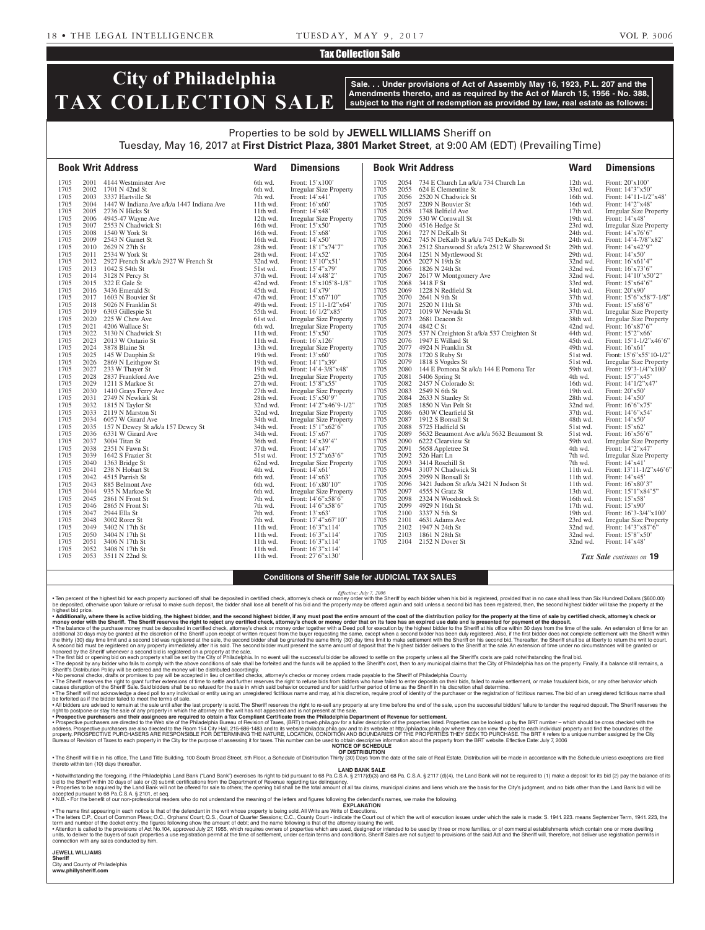### Tax Collection Sale

# **City of Philadelphia TAX COLLECTION SALE**

**Sale. . . Under provisions of Act of Assembly May 16, 1923, P.L. 207 and the Amendments thereto, and as required by the Act of March 15, 1956 - No. 388, subject to the right of redemption as provided by law, real estate as follows:**

## Properties to be sold by **JEWELL WILLIAMS** Sheriff on Tuesday, May 16, 2017 at **First District Plaza, 3801 Market Street**, at 9:00 AM (EDT) (Prevailing Time)

|              |              | <b>Book Writ Address</b>                        | <b>Ward</b>          | <b>Dimensions</b>                          |              |              | <b>Book Writ Address</b>                         | <b>Ward</b>          | <b>Dimensions</b>                                  |
|--------------|--------------|-------------------------------------------------|----------------------|--------------------------------------------|--------------|--------------|--------------------------------------------------|----------------------|----------------------------------------------------|
| 1705         |              | 2001 4144 Westminster Ave                       | 6th wd.              | Front: 15'x100'                            | 1705         |              | 2054 734 E Church Ln a/k/a 734 Church Ln         | 12th wd.             | Front: $20'x100'$                                  |
| 1705         |              | 2002 1701 N 42nd St                             | 6th wd.              | <b>Irregular Size Property</b>             | 1705         | 2055         | 624 E Clementine St                              | 33rd wd.             | Front: 14'3"x50'                                   |
| 1705         |              | 2003 3337 Hartville St                          | 7th wd.              | Front: 14'x41'                             | 1705         | 2056         | 2520 N Chadwick St                               | 16th wd.             | Front: $14'11-1/2''x48'$                           |
| 1705         |              | 2004 1447 W Indiana Ave a/k/a 1447 Indiana Ave  | 11th wd.             | Front: 16'x60'                             | 1705         |              | 2057 2209 N Bouvier St                           | 16th wd.             | Front: 14'2"x48'                                   |
| 1705         |              | 2005 2736 N Hicks St                            | 11th wd.             | Front: 14'x48'                             | 1705         |              | 2058 1748 Belfield Ave                           | 17th wd.             | <b>Irregular Size Property</b>                     |
| 1705<br>1705 | 2006<br>2007 | 4945-47 Wayne Ave                               | 12th wd.             | <b>Irregular Size Property</b>             | 1705<br>1705 | 2059         | 530 W Cornwall St                                | 19th wd.             | Front: 14'x48'                                     |
| 1705         | 2008         | 2553 N Chadwick St<br>1540 W York St            | 16th wd.<br>16th wd. | Front: $15'x50'$<br>Front: 15'x68'         | 1705         | 2061         | 2060 4516 Hedge St<br>727 N DeKalb St            | 23rd wd.<br>24th wd. | <b>Irregular Size Property</b><br>Front: 14'x76'6" |
| 1705         | 2009         | 2543 N Garnet St                                | 16th wd.             | Front: 14'x50'                             | 1705         |              | 2062 745 N DeKalb St a/k/a 745 DeKalb St         | 24th wd.             | Front: 14'4-7/8"x82'                               |
| 1705         |              | 2010 2629 N 27th St                             | 28th wd.             | Front: 18'1"x74'7"                         | 1705         |              | 2063 2512 Sharswood St a/k/a 2512 W Sharswood St | 29th wd.             | Front: 14'x42'9"                                   |
| 1705         |              | 2011 2534 W York St                             | 28th wd.             | Front: 14'x52'                             | 1705         |              | 2064 1251 N Myrtlewood St                        | 29th wd.             | Front: $14'x50'$                                   |
| 1705         |              | 2012 2927 French St a/k/a 2927 W French St      | 32nd wd.             | Front: 13'10"x51'                          | 1705         |              | 2065 2027 N 19th St                              | 32nd wd.             | Front: $16'x61'4"$                                 |
| 1705         |              | 2013 1042 S 54th St                             | 51st wd.             | Front: 15'4"x79'                           | 1705         |              | 2066 1826 N 24th St                              | 32nd wd.             | Front: 16'x73'6"                                   |
| 1705         |              | 2014 3128 N Percy St                            | 37th wd.             | Front: 14'x48'2"                           | 1705         | 2067         | 2617 W Montgomery Ave                            | 32nd wd.             | Front: $14'10''x50'2"$                             |
| 1705         |              | 2015 322 E Gale St                              | 42nd wd.             | Front: 15'x105'8-1/8"                      | 1705         | 2068         | 3418 F St                                        | 33rd wd.             | Front: 15'x64'6"                                   |
| 1705         |              | 2016 3436 Emerald St                            | 45th wd.             | Front: 14'x79'                             | 1705         |              | 2069 1228 N Redfield St                          | 34th wd.             | Front: 20'x90'                                     |
| 1705         |              | 2017 1603 N Bouvier St                          | 47th wd.             | Front: 15'x67'10"                          | 1705         |              | 2070 2641 N 9th St                               | 37th wd.             | Front: 15'6"x58'7-1/8"                             |
| 1705         |              | 2018 5026 N Franklin St                         | 49th wd.             | Front: $15'11-1/2''x64'$                   | 1705         |              | 2071 2520 N 11th St                              | 37th wd.             | Front: 15'x68'6"                                   |
| 1705         |              | 2019 6303 Gillespie St                          | 55th wd.             | Front: 16'1/2"x85'                         | 1705         |              | 2072 1019 W Nevada St                            | 37th wd.             | <b>Irregular Size Property</b>                     |
| 1705         | 2020         | 225 W Chew Ave                                  | 61st wd.             | Irregular Size Property                    | 1705         | 2073         | 2681 Deacon St                                   | 38th wd.             | <b>Irregular Size Property</b>                     |
| 1705         | 2021         | 4206 Wallace St                                 | 6th wd.              | <b>Irregular Size Property</b>             | 1705         | 2074         | 4842 C St                                        | 42nd wd.             | Front: 16'x87'6"                                   |
| 1705         | 2022         | 3130 N Chadwick St                              | 11th wd.             | Front: 15'x50'                             | 1705         |              | 2075 537 N Creighton St a/k/a 537 Creighton St   | 44th wd.             | Front: 15'2"x66'                                   |
| 1705         |              | 2023 2013 W Ontario St                          | 11th wd.             | Front: 16'x126'                            | 1705         |              | 2076 1947 E Willard St                           | 45th wd.             | Front: $15'1-1/2''x46'6''$                         |
| 1705         |              | 2024 3878 Blaine St                             | 13th wd.             | Irregular Size Property                    | 1705         |              | 2077 4924 N Franklin St                          | 49th wd.             | Front: $16'x61'$                                   |
| 1705         |              | 2025 145 W Dauphin St                           | 19th wd.             | Front: 13'x60'                             | 1705         |              | 2078 1720 S Ruby St                              | 51st wd.             | Front: 15'6"x55'10-1/2"                            |
| 1705         | 2026         | 2869 N Leithgow St                              | 19th wd.             | Front: 14'1"x39'                           | 1705         | 2079         | 1818 S Vogdes St                                 | 51st wd.             | <b>Irregular Size Property</b>                     |
| 1705         | 2027         | 233 W Thayer St                                 | 19th wd.             | Front: 14'4-3/8"x48'                       | 1705         | 2080         | 144 E Pomona St a/k/a 144 E Pomona Ter           | 59th wd.             | Front: 19'3-1/4"x100"                              |
| 1705         |              | 2028 2837 Frankford Ave                         | 25th wd.             | <b>Irregular Size Property</b>             | 1705         | 2081         | 5406 Spring St                                   | 4th wd.              | Front: 15'7"x45'                                   |
| 1705         | 2029         | 1211 S Markoe St                                | 27th wd.             | Front: 15'8"x55'                           | 1705         | 2082         | 2457 N Colorado St                               | 16th wd.             | Front: 14'1/2"x47'                                 |
| 1705         | 2030         | 1410 Grays Ferry Ave                            | 27th wd.<br>28th wd. | Irregular Size Property                    | 1705<br>1705 | 2083<br>2084 | 2549 N 6th St                                    | 19th wd.             | Front: $20'x50'$                                   |
| 1705<br>1705 |              | 2031 2749 N Newkirk St<br>2032 1815 N Taylor St | 32nd wd.             | Front: 15'x50'9"<br>Front: 14'2"x46'9-1/2" | 1705         | 2085         | 2633 N Stanley St<br>1850 N Van Pelt St          | 28th wd.<br>32nd wd. | Front: $14'x50'$<br>Front: 16'6"x75'               |
| 1705         |              | 2033 2119 N Marston St                          | 32nd wd.             | <b>Irregular Size Property</b>             | 1705         | 2086         | 630 W Clearfield St                              | 37th wd.             | Front: 14'6"x54'                                   |
| 1705         |              | 2034 6057 W Girard Ave                          | 34th wd.             | <b>Irregular Size Property</b>             | 1705         | 2087         | 1912 S Bonsall St                                | 48th wd.             | Front: $14'x50'$                                   |
| 1705         |              | 2035 157 N Dewey St a/k/a 157 Dewey St          | 34th wd.             | Front: 15'1"x62'6"                         | 1705         | 2088         | 5725 Hadfield St                                 | 51st wd.             | Front: $15'x62'$                                   |
| 1705         |              | 2036 6331 W Girard Ave                          | 34th wd.             | Front: 15'x67'                             | 1705         | 2089         | 5632 Beaumont Ave a/k/a 5632 Beaumont St         | 51st wd.             | Front: $16'x56'6"$                                 |
| 1705         |              | 2037 3004 Titan St                              | 36th wd.             | Front: 14'x39'4"                           | 1705         | 2090         | 6222 Clearview St                                | 59th wd.             | <b>Irregular Size Property</b>                     |
| 1705         | 2038         | 2351 N Fawn St                                  | 37th wd.             | Front: 14'x47'                             | 1705         | 2091         | 5658 Appletree St                                | 4th wd.              | Front: 14'2"x47'                                   |
| 1705         |              | 2039 1642 S Frazier St                          | 51st wd.             | Front: 15'2"x63'6"                         | 1705         | 2092         | 526 Hart Ln                                      | 7th wd.              | <b>Irregular Size Property</b>                     |
| 1705         |              | 2040 1363 Bridge St                             | 62nd wd.             | <b>Irregular Size Property</b>             | 1705         | 2093         | 3414 Rosehill St                                 | 7th wd.              | Front: 14'x41'                                     |
| 1705         |              | 2041 238 N Hobart St                            | 4th wd.              | Front: 14'x61'                             | 1705         |              | 2094 3107 N Chadwick St                          | $11th$ wd.           | Front: 13'11-1/2"x46'6"                            |
| 1705         |              | 2042 4515 Parrish St                            | 6th wd.              | Front: 14'x63'                             | 1705         | 2095         | 2959 N Bonsall St                                | $11th$ wd.           | Front: $14'x45'$                                   |
| 1705         |              | 2043 885 Belmont Ave                            | 6th wd.              | Front: 16'x80'10"                          | 1705         |              | 2096 3421 Judson St a/k/a 3421 N Judson St       | 11th wd.             | Front: 16'x80'3"                                   |
| 1705         |              | 2044 935 N Markoe St                            | 6th wd.              | <b>Irregular Size Property</b>             | 1705         | 2097         | 4555 N Gratz St                                  | 13th wd.             | Front: 15'1"x84'5"                                 |
| 1705         |              | 2045 2861 N Front St                            | 7th wd.              | Front: 14'6"x58'6"                         | 1705         |              | 2098 2324 N Woodstock St                         | 16th wd.             | Front: 15'x58'                                     |
| 1705         | 2046         | 2865 N Front St                                 | 7th wd.              | Front: 14'6"x58'6"                         | 1705         | 2099         | 4929 N 16th St                                   | $17th$ wd.           | Front: $15'x90'$                                   |
| 1705         | 2047         | 2944 Ella St                                    | 7th wd.              | Front: 13'x63'                             | 1705         |              | 2100 3337 N 5th St                               | $19th$ wd.           | Front: 16'3-3/4"x100"                              |
| 1705         |              | 2048 3002 Rorer St                              | 7th wd.              | Front: 17'4"x67'10"                        | 1705         |              | 2101 4631 Adams Ave                              | 23rd wd.             | <b>Irregular Size Property</b>                     |
| 1705         |              | 2049 3402 N 17th St                             | 11th wd.             | Front: 16'3"x114'                          | 1705         |              | 2102 1947 N 24th St                              | 32nd wd.             | Front: 14'3"x87'6"                                 |
| 1705         |              | 2050 3404 N 17th St                             | 11th wd.             | Front: 16'3"x114'                          | 1705         | 2103         | 1861 N 28th St                                   | 32nd wd.             | Front: 15'8"x50"                                   |
| 1705         |              | 2051 3406 N 17th St                             | 11th wd.             | Front: 16'3"x114'                          | 1705         |              | 2104 2152 N Dover St                             | 32nd wd.             | Front: 14'x48'                                     |
| 1705         |              | 2052 3408 N 17th St                             | $11th$ wd.           | Front: 16'3"x114'                          |              |              |                                                  |                      |                                                    |
| 1705         |              | 2053 3511 N 22nd St                             | $11th$ wd.           | Front: 27'6"x130"                          |              |              |                                                  |                      | Tax Sale continues on 19                           |

#### **Conditions of Sheriff Sale for JUDICIAL TAX SALES**

Efective: July 7, 2006<br>The Share Share his bid are his bid is registered, provided that in no case shall less than Six Hundred Dollars (\$600.00) • Tem Share the Share of share bidder when his bid is registered, provided th highest bid price.

• Additionally, where there is active bidding, the highest bidder, and the second highest bidder, if any must post the entire amount of the cost of the distribution policy for the property at the time of sale by certified

money order with the Sheriff. The Sheriff reserves the right to reject any certified check, attorney's check or money order that on its face has an expired use date and is presented for payment of the deposit.<br>The balance

honored by the Sheriff whenever a second bid is registered on a property at the sale.<br>● The first bid or opening bid be support the above conditions of sale shall be for Philadelphia. In no event will the successful bidde

Sheriff's Distribution Policy will be ordered and the money will be distributed accordingly.<br>• No personal checks, drawn and the worder of the money will be accepted in lieu of certified checks, attorney's checks or money

• The Sheriff will not acknowledge a deed poll to any individual or entity using an unregistered fictitious name and may, at his discretion, require proof of identity of the purchaser or the registration of fictitious name

be forfeited as if the bidder failed to meet the terms of sale.<br>• All bidders failed to meet the terms of sale. Intervent in after the last property is sold. The Sheriff reserves the right to re-sell any property at any ti

Bureau of Revision of Taxes to each property in the City for the purpose of assessing it for taxes. This number can be used to obtain descriptive information about the property from the BRT website. Effective Date: July 7, **NOTICE OF SCHEDULE**

#### **OF DISTRIBUTION**

. The Sheriff will file in his office, The Land Title Building, 100 South Broad Street, 5th Floor, a Schedule of Distribution Thirty (30) Days from the date of the sale of Real Estate. Distribution will be made in accordan thereto within ten (10) days thereafte

#### **LAND BANK SALE**

Notwithstanding the foregoing, if the Philadelphia Land Bank ("Land Bank") exercises its right to bid pursuant to 68 Pa.C.S.A. § 2117(d)(3) and 68 Pa.C.S.A. § 2117 (d)(4), the Land Bank will not be required to (1) make a d bid to the Sheriff within 30 days of sale or (3) submit certifications from the Department of Revenue regarding tax delinquency.<br>• Properties to be acquired by the Land Bank will not be offered for sale to others; the open

EXPLANATION

• The name first appearing in each notice is that of the defendant in the writ whose property is being sold. All Writs are Writs of Executions.

. The letters C.P., Court of Common Pleas; O.C., Orphans' Court; Q.S., Court of Quarter Sessions; C.C., County Court - indicate the Court of which the writ of execution issues under which the sale is made: S. 1941. 223. me

term and number of the docket entry; the figures following show the amount of debt; and the name following is that of the attorney issuing the writ.<br>● Attention is called to the provisions of Act No.109 between the state connection with any sales conducted by him.

**JEWELL WILLIAMS Sheriff** 

City and County of Philadelphia **www.phillysheriff.com**